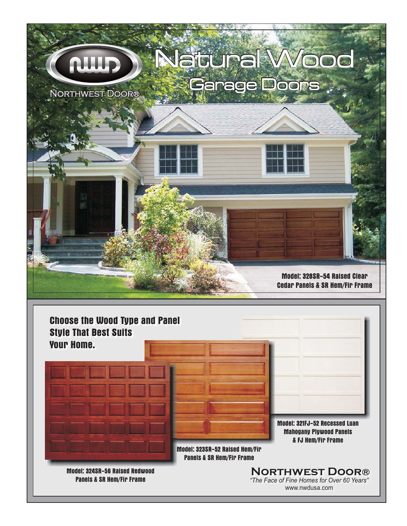



www.nwdusa.com